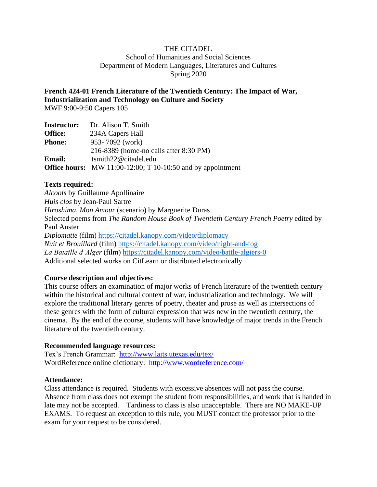## THE CITADEL School of Humanities and Social Sciences Department of Modern Languages, Literatures and Cultures Spring 2020

**French 424-01 French Literature of the Twentieth Century: The Impact of War, Industrialization and Technology on Culture and Society**

MWF 9:00-9:50 Capers 105

| <b>Instructor:</b> | Dr. Alison T. Smith                                                |
|--------------------|--------------------------------------------------------------------|
| <b>Office:</b>     | 234A Capers Hall                                                   |
| <b>Phone:</b>      | 953-7092 (work)                                                    |
|                    | 216-8389 (home-no calls after 8:30 PM)                             |
| <b>Email:</b>      | $t$ smith22@citadel.edu                                            |
|                    | <b>Office hours:</b> MW 11:00-12:00; T 10-10:50 and by appointment |

## **Texts required:**

*Alcools* by Guillaume Apollinaire *Huis clos* by Jean-Paul Sartre *Hiroshima, Mon Amour* (scenario) by Marguerite Duras Selected poems from *The Random House Book of Twentieth Century French Poetry* edited by Paul Auster *Diplomatie* (film)<https://citadel.kanopy.com/video/diplomacy> *Nuit et Brouillard* (film)<https://citadel.kanopy.com/video/night-and-fog> *La Bataille d'Alger* (film)<https://citadel.kanopy.com/video/battle-algiers-0> Additional selected works on CitLearn or distributed electronically

## **Course description and objectives:**

This course offers an examination of major works of French literature of the twentieth century within the historical and cultural context of war, industrialization and technology. We will explore the traditional literary genres of poetry, theater and prose as well as intersections of these genres with the form of cultural expression that was new in the twentieth century, the cinema. By the end of the course, students will have knowledge of major trends in the French literature of the twentieth century.

## **Recommended language resources:**

Tex's French Grammar: <http://www.laits.utexas.edu/tex/> WordReference online dictionary: <http://www.wordreference.com/>

## **Attendance:**

Class attendance is required. Students with excessive absences will not pass the course. Absence from class does not exempt the student from responsibilities, and work that is handed in late may not be accepted. Tardiness to class is also unacceptable. There are NO MAKE-UP EXAMS. To request an exception to this rule, you MUST contact the professor prior to the exam for your request to be considered.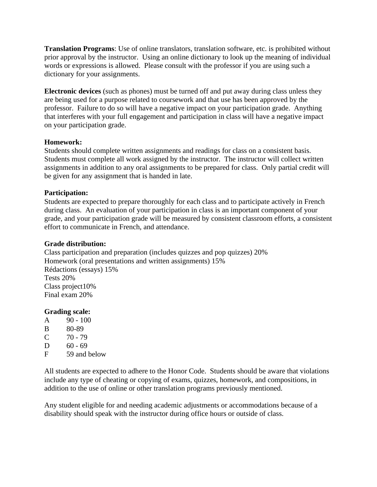**Translation Programs**: Use of online translators, translation software, etc. is prohibited without prior approval by the instructor. Using an online dictionary to look up the meaning of individual words or expressions is allowed. Please consult with the professor if you are using such a dictionary for your assignments.

**Electronic devices** (such as phones) must be turned off and put away during class unless they are being used for a purpose related to coursework and that use has been approved by the professor. Failure to do so will have a negative impact on your participation grade. Anything that interferes with your full engagement and participation in class will have a negative impact on your participation grade.

## **Homework:**

Students should complete written assignments and readings for class on a consistent basis. Students must complete all work assigned by the instructor. The instructor will collect written assignments in addition to any oral assignments to be prepared for class. Only partial credit will be given for any assignment that is handed in late.

## **Participation:**

Students are expected to prepare thoroughly for each class and to participate actively in French during class. An evaluation of your participation in class is an important component of your grade, and your participation grade will be measured by consistent classroom efforts, a consistent effort to communicate in French, and attendance.

## **Grade distribution:**

Class participation and preparation (includes quizzes and pop quizzes) 20% Homework (oral presentations and written assignments) 15% Rédactions (essays) 15% Tests 20% Class project10% Final exam 20%

## **Grading scale:**

- A 90 100
- B 80-89
- $C = 70 79$
- D  $60 69$
- F 59 and below

All students are expected to adhere to the Honor Code. Students should be aware that violations include any type of cheating or copying of exams, quizzes, homework, and compositions, in addition to the use of online or other translation programs previously mentioned.

Any student eligible for and needing academic adjustments or accommodations because of a disability should speak with the instructor during office hours or outside of class.